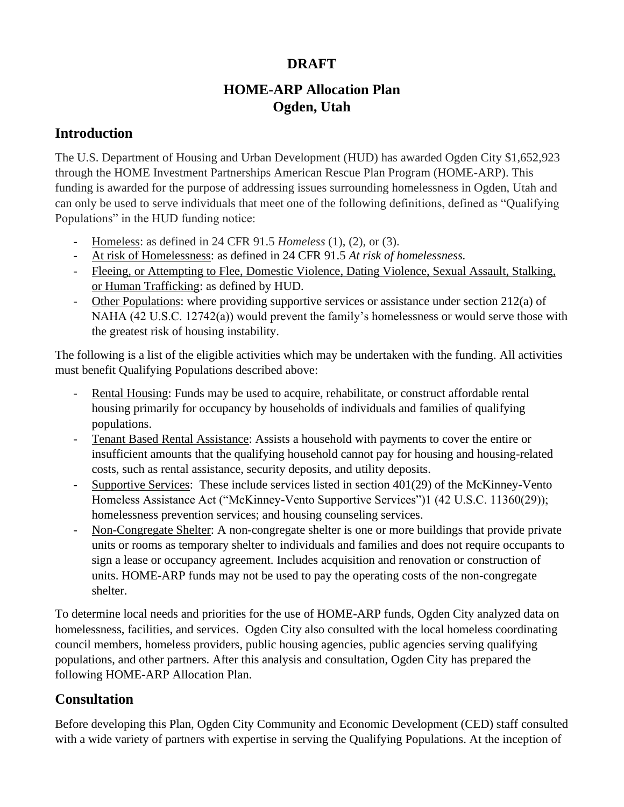# **DRAFT**

# **HOME-ARP Allocation Plan Ogden, Utah**

## **Introduction**

The U.S. Department of Housing and Urban Development (HUD) has awarded Ogden City \$1,652,923 through the HOME Investment Partnerships American Rescue Plan Program (HOME-ARP). This funding is awarded for the purpose of addressing issues surrounding homelessness in Ogden, Utah and can only be used to serve individuals that meet one of the following definitions, defined as "Qualifying Populations" in the HUD funding notice:

- Homeless: as defined in 24 CFR 91.5 *Homeless* (1), (2), or (3).
- At risk of Homelessness: as defined in 24 CFR 91.5 *At risk of homelessness.*
- Fleeing, or Attempting to Flee, Domestic Violence, Dating Violence, Sexual Assault, Stalking, or Human Trafficking: as defined by HUD.
- Other Populations: where providing supportive services or assistance under section 212(a) of NAHA (42 U.S.C. 12742(a)) would prevent the family's homelessness or would serve those with the greatest risk of housing instability.

The following is a list of the eligible activities which may be undertaken with the funding. All activities must benefit Qualifying Populations described above:

- Rental Housing: Funds may be used to acquire, rehabilitate, or construct affordable rental housing primarily for occupancy by households of individuals and families of qualifying populations.
- Tenant Based Rental Assistance: Assists a household with payments to cover the entire or insufficient amounts that the qualifying household cannot pay for housing and housing-related costs, such as rental assistance, security deposits, and utility deposits.
- Supportive Services: These include services listed in section 401(29) of the McKinney-Vento Homeless Assistance Act ("McKinney-Vento Supportive Services")1 (42 U.S.C. 11360(29)); homelessness prevention services; and housing counseling services.
- Non-Congregate Shelter: A non-congregate shelter is one or more buildings that provide private units or rooms as temporary shelter to individuals and families and does not require occupants to sign a lease or occupancy agreement. Includes acquisition and renovation or construction of units. HOME-ARP funds may not be used to pay the operating costs of the non-congregate shelter.

To determine local needs and priorities for the use of HOME-ARP funds, Ogden City analyzed data on homelessness, facilities, and services. Ogden City also consulted with the local homeless coordinating council members, homeless providers, public housing agencies, public agencies serving qualifying populations, and other partners. After this analysis and consultation, Ogden City has prepared the following HOME-ARP Allocation Plan.

# **Consultation**

Before developing this Plan, Ogden City Community and Economic Development (CED) staff consulted with a wide variety of partners with expertise in serving the Qualifying Populations. At the inception of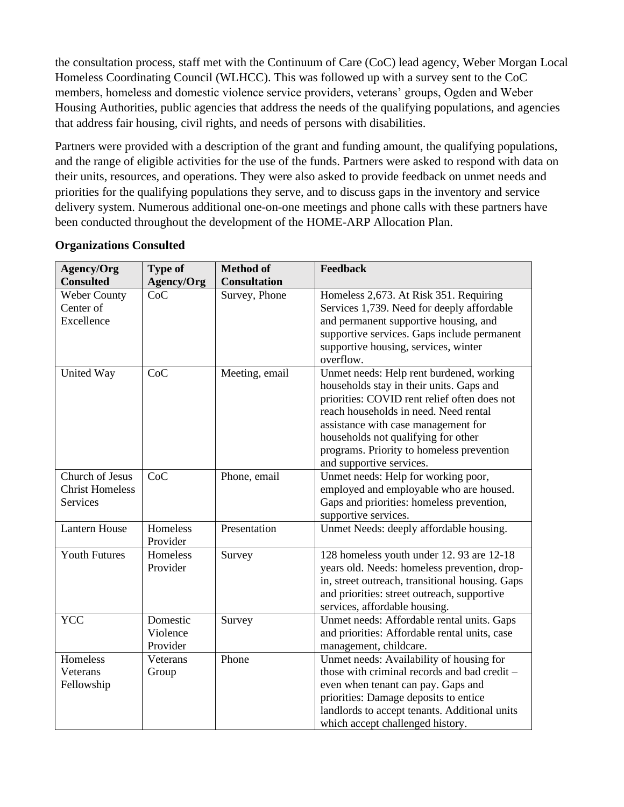the consultation process, staff met with the Continuum of Care (CoC) lead agency, Weber Morgan Local Homeless Coordinating Council (WLHCC). This was followed up with a survey sent to the CoC members, homeless and domestic violence service providers, veterans' groups, Ogden and Weber Housing Authorities, public agencies that address the needs of the qualifying populations, and agencies that address fair housing, civil rights, and needs of persons with disabilities.

Partners were provided with a description of the grant and funding amount, the qualifying populations, and the range of eligible activities for the use of the funds. Partners were asked to respond with data on their units, resources, and operations. They were also asked to provide feedback on unmet needs and priorities for the qualifying populations they serve, and to discuss gaps in the inventory and service delivery system. Numerous additional one-on-one meetings and phone calls with these partners have been conducted throughout the development of the HOME-ARP Allocation Plan.

| Agency/Org                                            | <b>Type of</b>                   | <b>Method of</b>    | Feedback                                                                                                                                                                                                                                                                                                                             |
|-------------------------------------------------------|----------------------------------|---------------------|--------------------------------------------------------------------------------------------------------------------------------------------------------------------------------------------------------------------------------------------------------------------------------------------------------------------------------------|
| <b>Consulted</b>                                      | <b>Agency/Org</b>                | <b>Consultation</b> |                                                                                                                                                                                                                                                                                                                                      |
| Weber County<br>Center of<br>Excellence               | CoC                              | Survey, Phone       | Homeless 2,673. At Risk 351. Requiring<br>Services 1,739. Need for deeply affordable<br>and permanent supportive housing, and<br>supportive services. Gaps include permanent<br>supportive housing, services, winter<br>overflow.                                                                                                    |
| United Way                                            | CoC                              | Meeting, email      | Unmet needs: Help rent burdened, working<br>households stay in their units. Gaps and<br>priorities: COVID rent relief often does not<br>reach households in need. Need rental<br>assistance with case management for<br>households not qualifying for other<br>programs. Priority to homeless prevention<br>and supportive services. |
| Church of Jesus<br><b>Christ Homeless</b><br>Services | CoC                              | Phone, email        | Unmet needs: Help for working poor,<br>employed and employable who are housed.<br>Gaps and priorities: homeless prevention,<br>supportive services.                                                                                                                                                                                  |
| <b>Lantern House</b>                                  | Homeless<br>Provider             | Presentation        | Unmet Needs: deeply affordable housing.                                                                                                                                                                                                                                                                                              |
| <b>Youth Futures</b>                                  | Homeless<br>Provider             | Survey              | 128 homeless youth under 12.93 are 12-18<br>years old. Needs: homeless prevention, drop-<br>in, street outreach, transitional housing. Gaps<br>and priorities: street outreach, supportive<br>services, affordable housing.                                                                                                          |
| <b>YCC</b>                                            | Domestic<br>Violence<br>Provider | Survey              | Unmet needs: Affordable rental units. Gaps<br>and priorities: Affordable rental units, case<br>management, childcare.                                                                                                                                                                                                                |
| Homeless<br>Veterans<br>Fellowship                    | Veterans<br>Group                | Phone               | Unmet needs: Availability of housing for<br>those with criminal records and bad credit -<br>even when tenant can pay. Gaps and<br>priorities: Damage deposits to entice<br>landlords to accept tenants. Additional units<br>which accept challenged history.                                                                         |

### **Organizations Consulted**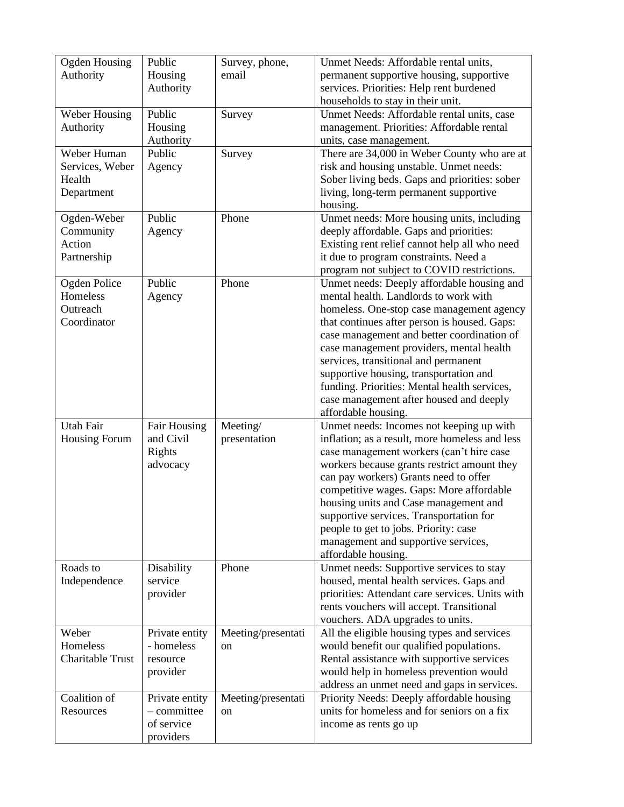| <b>Ogden Housing</b>    | Public              | Survey, phone,     | Unmet Needs: Affordable rental units,           |
|-------------------------|---------------------|--------------------|-------------------------------------------------|
| Authority               | Housing             | email              | permanent supportive housing, supportive        |
|                         | Authority           |                    | services. Priorities: Help rent burdened        |
|                         |                     |                    | households to stay in their unit.               |
| Weber Housing           | Public              | Survey             | Unmet Needs: Affordable rental units, case      |
| Authority               | Housing             |                    | management. Priorities: Affordable rental       |
|                         | Authority           |                    | units, case management.                         |
| Weber Human             | Public              | Survey             | There are 34,000 in Weber County who are at     |
|                         |                     |                    |                                                 |
| Services, Weber         | Agency              |                    | risk and housing unstable. Unmet needs:         |
| Health                  |                     |                    | Sober living beds. Gaps and priorities: sober   |
| Department              |                     |                    | living, long-term permanent supportive          |
|                         |                     |                    | housing.                                        |
| Ogden-Weber             | Public              | Phone              | Unmet needs: More housing units, including      |
| Community               | Agency              |                    | deeply affordable. Gaps and priorities:         |
| Action                  |                     |                    | Existing rent relief cannot help all who need   |
| Partnership             |                     |                    | it due to program constraints. Need a           |
|                         |                     |                    | program not subject to COVID restrictions.      |
| Ogden Police            | Public              | Phone              | Unmet needs: Deeply affordable housing and      |
|                         |                     |                    |                                                 |
| Homeless                | Agency              |                    | mental health. Landlords to work with           |
| Outreach                |                     |                    | homeless. One-stop case management agency       |
| Coordinator             |                     |                    | that continues after person is housed. Gaps:    |
|                         |                     |                    | case management and better coordination of      |
|                         |                     |                    | case management providers, mental health        |
|                         |                     |                    | services, transitional and permanent            |
|                         |                     |                    | supportive housing, transportation and          |
|                         |                     |                    | funding. Priorities: Mental health services,    |
|                         |                     |                    | case management after housed and deeply         |
|                         |                     |                    | affordable housing.                             |
| <b>Utah Fair</b>        | <b>Fair Housing</b> | Meeting/           |                                                 |
|                         |                     |                    | Unmet needs: Incomes not keeping up with        |
| <b>Housing Forum</b>    | and Civil           | presentation       | inflation; as a result, more homeless and less  |
|                         | Rights              |                    | case management workers (can't hire case        |
|                         | advocacy            |                    | workers because grants restrict amount they     |
|                         |                     |                    | can pay workers) Grants need to offer           |
|                         |                     |                    | competitive wages. Gaps: More affordable        |
|                         |                     |                    | housing units and Case management and           |
|                         |                     |                    | supportive services. Transportation for         |
|                         |                     |                    | people to get to jobs. Priority: case           |
|                         |                     |                    | management and supportive services,             |
|                         |                     |                    | affordable housing.                             |
| Roads to                | Disability          | Phone              | Unmet needs: Supportive services to stay        |
| Independence            | service             |                    | housed, mental health services. Gaps and        |
|                         |                     |                    |                                                 |
|                         | provider            |                    | priorities: Attendant care services. Units with |
|                         |                     |                    | rents vouchers will accept. Transitional        |
|                         |                     |                    | vouchers. ADA upgrades to units.                |
| Weber                   | Private entity      | Meeting/presentati | All the eligible housing types and services     |
| Homeless                | - homeless          | on                 | would benefit our qualified populations.        |
| <b>Charitable Trust</b> | resource            |                    | Rental assistance with supportive services      |
|                         | provider            |                    | would help in homeless prevention would         |
|                         |                     |                    | address an unmet need and gaps in services.     |
| Coalition of            | Private entity      | Meeting/presentati | Priority Needs: Deeply affordable housing       |
| Resources               | - committee         | on                 | units for homeless and for seniors on a fix     |
|                         | of service          |                    |                                                 |
|                         |                     |                    | income as rents go up                           |
|                         | providers           |                    |                                                 |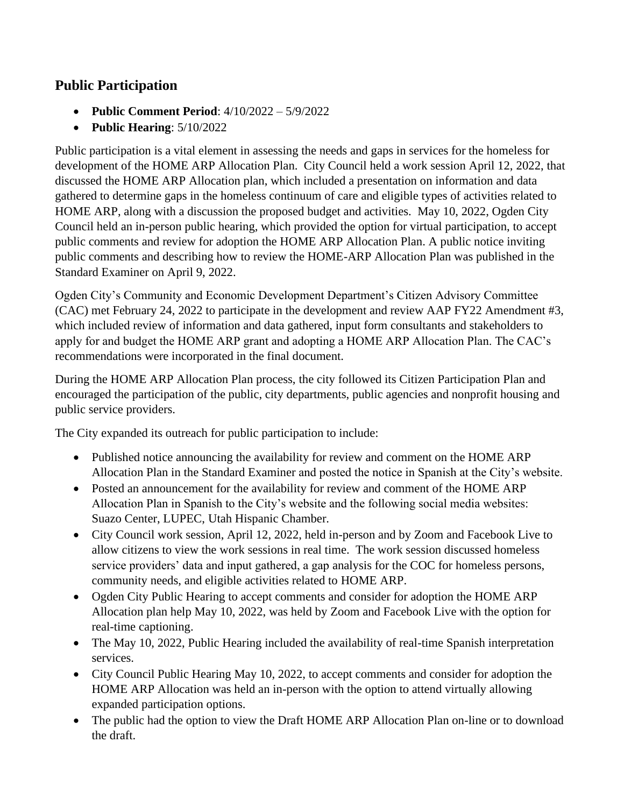# **Public Participation**

- **Public Comment Period**: 4/10/2022 5/9/2022
- **Public Hearing**: 5/10/2022

Public participation is a vital element in assessing the needs and gaps in services for the homeless for development of the HOME ARP Allocation Plan. City Council held a work session April 12, 2022, that discussed the HOME ARP Allocation plan, which included a presentation on information and data gathered to determine gaps in the homeless continuum of care and eligible types of activities related to HOME ARP, along with a discussion the proposed budget and activities. May 10, 2022, Ogden City Council held an in-person public hearing, which provided the option for virtual participation, to accept public comments and review for adoption the HOME ARP Allocation Plan. A public notice inviting public comments and describing how to review the HOME-ARP Allocation Plan was published in the Standard Examiner on April 9, 2022.

Ogden City's Community and Economic Development Department's Citizen Advisory Committee (CAC) met February 24, 2022 to participate in the development and review AAP FY22 Amendment #3, which included review of information and data gathered, input form consultants and stakeholders to apply for and budget the HOME ARP grant and adopting a HOME ARP Allocation Plan. The CAC's recommendations were incorporated in the final document.

During the HOME ARP Allocation Plan process, the city followed its Citizen Participation Plan and encouraged the participation of the public, city departments, public agencies and nonprofit housing and public service providers.

The City expanded its outreach for public participation to include:

- Published notice announcing the availability for review and comment on the HOME ARP Allocation Plan in the Standard Examiner and posted the notice in Spanish at the City's website.
- Posted an announcement for the availability for review and comment of the HOME ARP Allocation Plan in Spanish to the City's website and the following social media websites: Suazo Center, LUPEC, Utah Hispanic Chamber.
- City Council work session, April 12, 2022, held in-person and by Zoom and Facebook Live to allow citizens to view the work sessions in real time. The work session discussed homeless service providers' data and input gathered, a gap analysis for the COC for homeless persons, community needs, and eligible activities related to HOME ARP.
- Ogden City Public Hearing to accept comments and consider for adoption the HOME ARP Allocation plan help May 10, 2022, was held by Zoom and Facebook Live with the option for real-time captioning.
- The May 10, 2022, Public Hearing included the availability of real-time Spanish interpretation services.
- City Council Public Hearing May 10, 2022, to accept comments and consider for adoption the HOME ARP Allocation was held an in-person with the option to attend virtually allowing expanded participation options.
- The public had the option to view the Draft HOME ARP Allocation Plan on-line or to download the draft.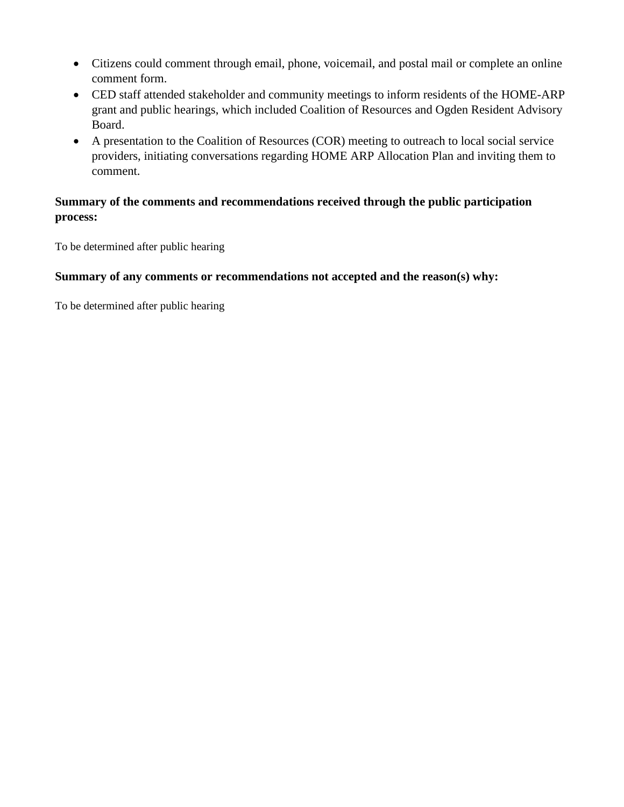- Citizens could comment through email, phone, voicemail, and postal mail or complete an online comment form.
- CED staff attended stakeholder and community meetings to inform residents of the HOME-ARP grant and public hearings, which included Coalition of Resources and Ogden Resident Advisory Board.
- A presentation to the Coalition of Resources (COR) meeting to outreach to local social service providers, initiating conversations regarding HOME ARP Allocation Plan and inviting them to comment.

## **Summary of the comments and recommendations received through the public participation process:**

To be determined after public hearing

### **Summary of any comments or recommendations not accepted and the reason(s) why:**

To be determined after public hearing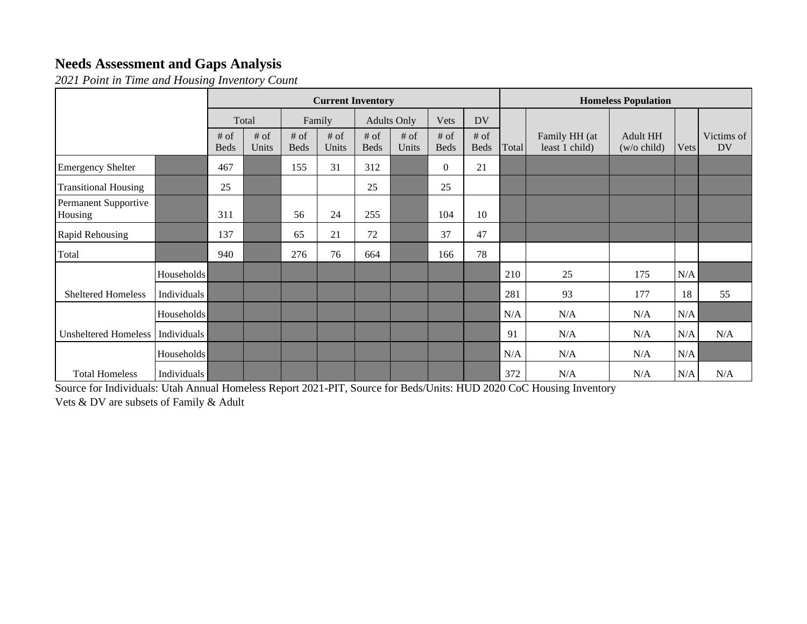# **Needs Assessment and Gaps Analysis**

*2021 Point in Time and Housing Inventory Count*

|                                 |                    | <b>Current Inventory</b> |                 |                       |                 |                       | <b>Homeless Population</b> |                       |                       |       |                                 |                           |      |                         |
|---------------------------------|--------------------|--------------------------|-----------------|-----------------------|-----------------|-----------------------|----------------------------|-----------------------|-----------------------|-------|---------------------------------|---------------------------|------|-------------------------|
|                                 |                    | Total                    |                 | Family                |                 | <b>Adults Only</b>    |                            | Vets                  | <b>DV</b>             |       |                                 |                           |      |                         |
|                                 |                    | # of<br><b>Beds</b>      | $#$ of<br>Units | $#$ of<br><b>Beds</b> | $#$ of<br>Units | $#$ of<br><b>Beds</b> | $#$ of<br>Units            | $#$ of<br><b>Beds</b> | $#$ of<br><b>Beds</b> | Total | Family HH (at<br>least 1 child) | Adult HH<br>$(w/o$ child) | Vets | Victims of<br><b>DV</b> |
| <b>Emergency Shelter</b>        |                    | 467                      |                 | 155                   | 31              | 312                   |                            | $\theta$              | 21                    |       |                                 |                           |      |                         |
| <b>Transitional Housing</b>     |                    | 25                       |                 |                       |                 | 25                    |                            | 25                    |                       |       |                                 |                           |      |                         |
| Permanent Supportive<br>Housing |                    | 311                      |                 | 56                    | 24              | 255                   |                            | 104                   | 10                    |       |                                 |                           |      |                         |
| Rapid Rehousing                 |                    | 137                      |                 | 65                    | 21              | 72                    |                            | 37                    | 47                    |       |                                 |                           |      |                         |
| Total                           |                    | 940                      |                 | 276                   | 76              | 664                   |                            | 166                   | 78                    |       |                                 |                           |      |                         |
|                                 | Households         |                          |                 |                       |                 |                       |                            |                       |                       | 210   | 25                              | 175                       | N/A  |                         |
| <b>Sheltered Homeless</b>       | Individuals        |                          |                 |                       |                 |                       |                            |                       |                       | 281   | 93                              | 177                       | 18   | 55                      |
|                                 | Households         |                          |                 |                       |                 |                       |                            |                       |                       | N/A   | N/A                             | N/A                       | N/A  |                         |
| <b>Unsheltered Homeless</b>     | Individuals        |                          |                 |                       |                 |                       |                            |                       |                       | 91    | N/A                             | N/A                       | N/A  | N/A                     |
|                                 | Households         |                          |                 |                       |                 |                       |                            |                       |                       | N/A   | N/A                             | N/A                       | N/A  |                         |
| <b>Total Homeless</b>           | <b>Individuals</b> |                          |                 |                       |                 |                       |                            |                       |                       | 372   | N/A                             | N/A                       | N/A  | N/A                     |

Source for Individuals: Utah Annual Homeless Report 2021-PIT, Source for Beds/Units: HUD 2020 CoC Housing Inventory Vets & DV are subsets of Family & Adult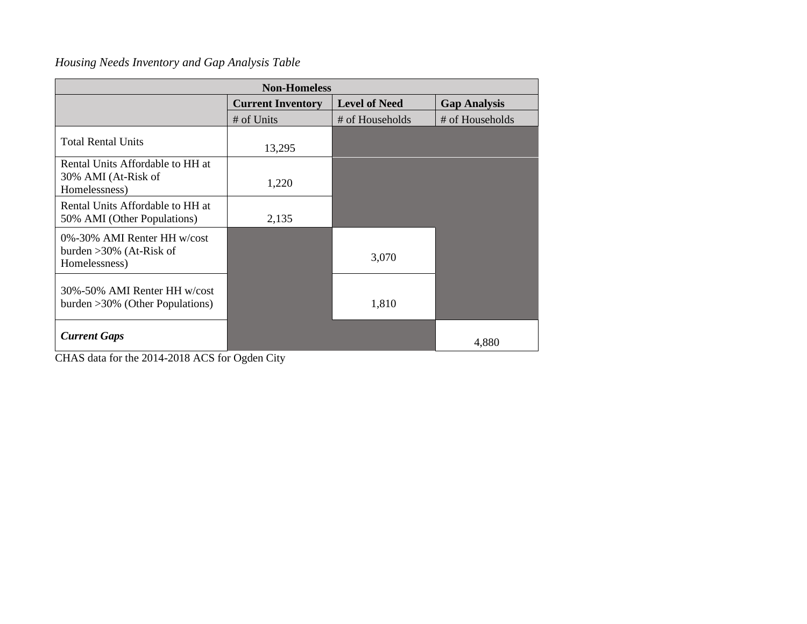# *Housing Needs Inventory and Gap Analysis Table*

| <b>Non-Homeless</b>                                                        |                          |                      |                     |  |  |  |  |  |
|----------------------------------------------------------------------------|--------------------------|----------------------|---------------------|--|--|--|--|--|
|                                                                            | <b>Current Inventory</b> | <b>Level of Need</b> | <b>Gap Analysis</b> |  |  |  |  |  |
|                                                                            | # of Units               | # of Households      | # of Households     |  |  |  |  |  |
| <b>Total Rental Units</b>                                                  | 13,295                   |                      |                     |  |  |  |  |  |
| Rental Units Affordable to HH at<br>30% AMI (At-Risk of<br>Homelessness)   | 1,220                    |                      |                     |  |  |  |  |  |
| Rental Units Affordable to HH at<br>50% AMI (Other Populations)            | 2,135                    |                      |                     |  |  |  |  |  |
| 0%-30% AMI Renter HH w/cost<br>burden $>30\%$ (At-Risk of<br>Homelessness) |                          | 3,070                |                     |  |  |  |  |  |
| 30%-50% AMI Renter HH w/cost<br>burden $>30\%$ (Other Populations)         |                          | 1,810                |                     |  |  |  |  |  |
| <b>Current Gaps</b>                                                        |                          |                      | 4,880               |  |  |  |  |  |

CHAS data for the 2014-2018 ACS for Ogden City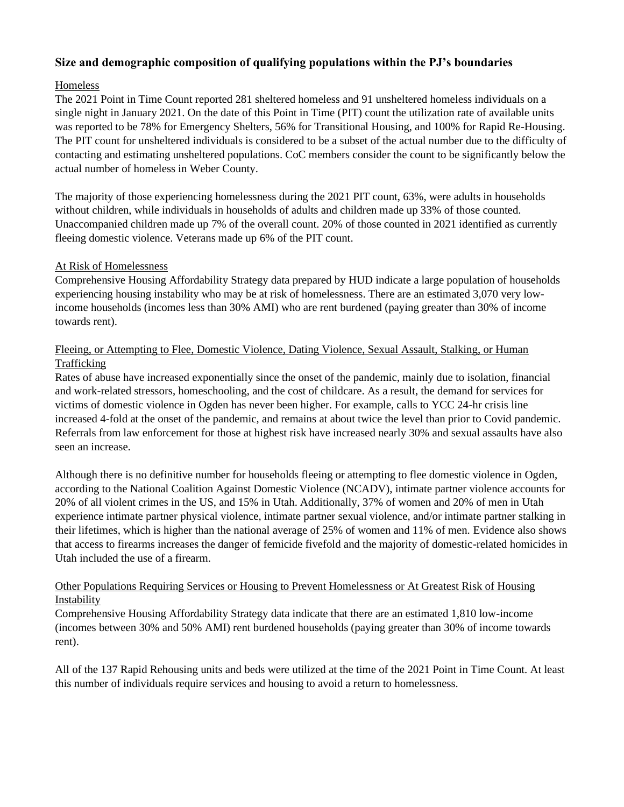#### **Size and demographic composition of qualifying populations within the PJ's boundaries**

#### Homeless

The 2021 Point in Time Count reported 281 sheltered homeless and 91 unsheltered homeless individuals on a single night in January 2021. On the date of this Point in Time (PIT) count the utilization rate of available units was reported to be 78% for Emergency Shelters, 56% for Transitional Housing, and 100% for Rapid Re-Housing. The PIT count for unsheltered individuals is considered to be a subset of the actual number due to the difficulty of contacting and estimating unsheltered populations. CoC members consider the count to be significantly below the actual number of homeless in Weber County.

The majority of those experiencing homelessness during the 2021 PIT count, 63%, were adults in households without children, while individuals in households of adults and children made up 33% of those counted. Unaccompanied children made up 7% of the overall count. 20% of those counted in 2021 identified as currently fleeing domestic violence. Veterans made up 6% of the PIT count.

#### At Risk of Homelessness

Comprehensive Housing Affordability Strategy data prepared by HUD indicate a large population of households experiencing housing instability who may be at risk of homelessness. There are an estimated 3,070 very lowincome households (incomes less than 30% AMI) who are rent burdened (paying greater than 30% of income towards rent).

#### Fleeing, or Attempting to Flee, Domestic Violence, Dating Violence, Sexual Assault, Stalking, or Human Trafficking

Rates of abuse have increased exponentially since the onset of the pandemic, mainly due to isolation, financial and work-related stressors, homeschooling, and the cost of childcare. As a result, the demand for services for victims of domestic violence in Ogden has never been higher. For example, calls to YCC 24-hr crisis line increased 4-fold at the onset of the pandemic, and remains at about twice the level than prior to Covid pandemic. Referrals from law enforcement for those at highest risk have increased nearly 30% and sexual assaults have also seen an increase.

Although there is no definitive number for households fleeing or attempting to flee domestic violence in Ogden, according to the National Coalition Against Domestic Violence (NCADV), intimate partner violence accounts for 20% of all violent crimes in the US, and 15% in Utah. Additionally, 37% of women and 20% of men in Utah experience intimate partner physical violence, intimate partner sexual violence, and/or intimate partner stalking in their lifetimes, which is higher than the national average of 25% of women and 11% of men. Evidence also shows that access to firearms increases the danger of femicide fivefold and the majority of domestic-related homicides in Utah included the use of a firearm.

#### Other Populations Requiring Services or Housing to Prevent Homelessness or At Greatest Risk of Housing Instability

Comprehensive Housing Affordability Strategy data indicate that there are an estimated 1,810 low-income (incomes between 30% and 50% AMI) rent burdened households (paying greater than 30% of income towards rent).

All of the 137 Rapid Rehousing units and beds were utilized at the time of the 2021 Point in Time Count. At least this number of individuals require services and housing to avoid a return to homelessness.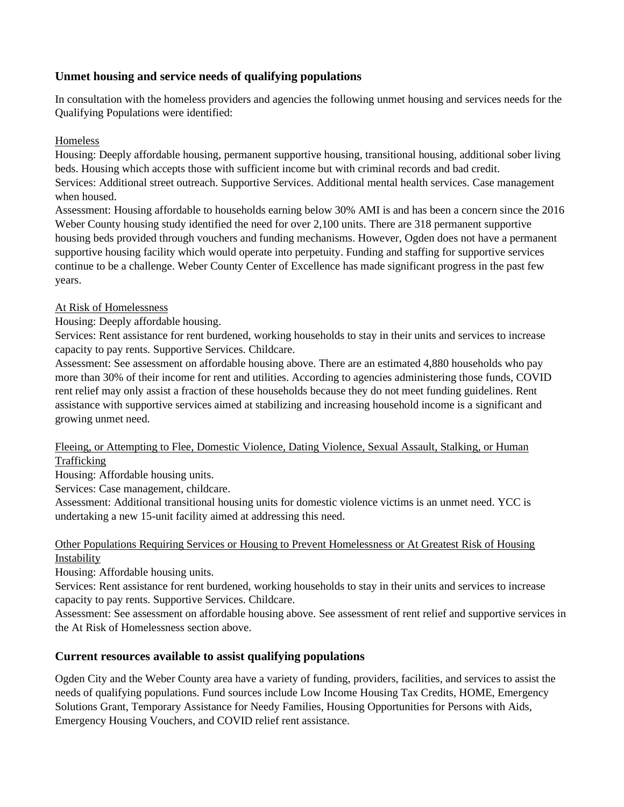### **Unmet housing and service needs of qualifying populations**

In consultation with the homeless providers and agencies the following unmet housing and services needs for the Qualifying Populations were identified:

#### Homeless

Housing: Deeply affordable housing, permanent supportive housing, transitional housing, additional sober living beds. Housing which accepts those with sufficient income but with criminal records and bad credit. Services: Additional street outreach. Supportive Services. Additional mental health services. Case management when housed.

Assessment: Housing affordable to households earning below 30% AMI is and has been a concern since the 2016 Weber County housing study identified the need for over 2,100 units. There are 318 permanent supportive housing beds provided through vouchers and funding mechanisms. However, Ogden does not have a permanent supportive housing facility which would operate into perpetuity. Funding and staffing for supportive services continue to be a challenge. Weber County Center of Excellence has made significant progress in the past few years.

#### At Risk of Homelessness

Housing: Deeply affordable housing.

Services: Rent assistance for rent burdened, working households to stay in their units and services to increase capacity to pay rents. Supportive Services. Childcare.

Assessment: See assessment on affordable housing above. There are an estimated 4,880 households who pay more than 30% of their income for rent and utilities. According to agencies administering those funds, COVID rent relief may only assist a fraction of these households because they do not meet funding guidelines. Rent assistance with supportive services aimed at stabilizing and increasing household income is a significant and growing unmet need.

#### Fleeing, or Attempting to Flee, Domestic Violence, Dating Violence, Sexual Assault, Stalking, or Human Trafficking

Housing: Affordable housing units.

Services: Case management, childcare.

Assessment: Additional transitional housing units for domestic violence victims is an unmet need. YCC is undertaking a new 15-unit facility aimed at addressing this need.

#### Other Populations Requiring Services or Housing to Prevent Homelessness or At Greatest Risk of Housing Instability

Housing: Affordable housing units.

Services: Rent assistance for rent burdened, working households to stay in their units and services to increase capacity to pay rents. Supportive Services. Childcare.

Assessment: See assessment on affordable housing above. See assessment of rent relief and supportive services in the At Risk of Homelessness section above.

#### **Current resources available to assist qualifying populations**

Ogden City and the Weber County area have a variety of funding, providers, facilities, and services to assist the needs of qualifying populations. Fund sources include Low Income Housing Tax Credits, HOME, Emergency Solutions Grant, Temporary Assistance for Needy Families, Housing Opportunities for Persons with Aids, Emergency Housing Vouchers, and COVID relief rent assistance.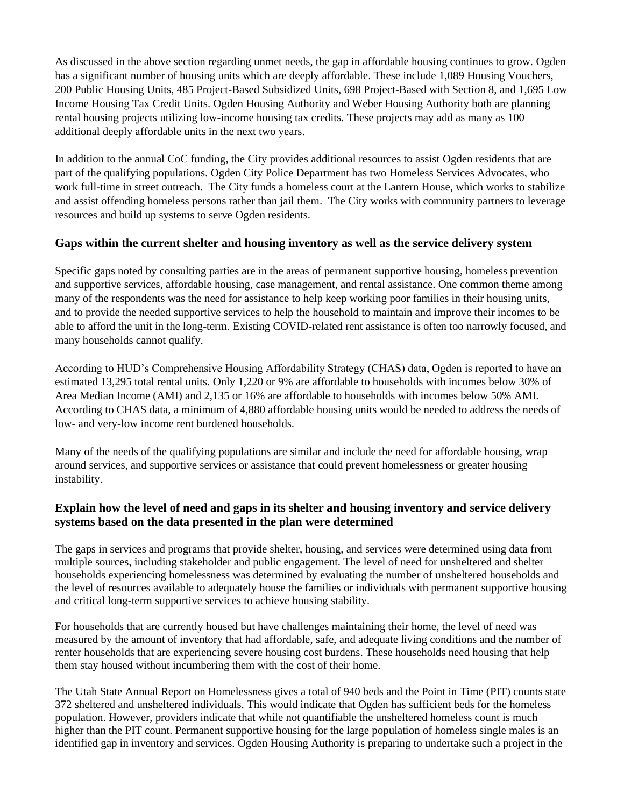As discussed in the above section regarding unmet needs, the gap in affordable housing continues to grow. Ogden has a significant number of housing units which are deeply affordable. These include 1,089 Housing Vouchers, 200 Public Housing Units, 485 Project-Based Subsidized Units, 698 Project-Based with Section 8, and 1,695 Low Income Housing Tax Credit Units. Ogden Housing Authority and Weber Housing Authority both are planning rental housing projects utilizing low-income housing tax credits. These projects may add as many as 100 additional deeply affordable units in the next two years.

In addition to the annual CoC funding, the City provides additional resources to assist Ogden residents that are part of the qualifying populations. Ogden City Police Department has two Homeless Services Advocates, who work full-time in street outreach. The City funds a homeless court at the Lantern House, which works to stabilize and assist offending homeless persons rather than jail them. The City works with community partners to leverage resources and build up systems to serve Ogden residents.

### **Gaps within the current shelter and housing inventory as well as the service delivery system**

Specific gaps noted by consulting parties are in the areas of permanent supportive housing, homeless prevention and supportive services, affordable housing, case management, and rental assistance. One common theme among many of the respondents was the need for assistance to help keep working poor families in their housing units, and to provide the needed supportive services to help the household to maintain and improve their incomes to be able to afford the unit in the long-term. Existing COVID-related rent assistance is often too narrowly focused, and many households cannot qualify.

According to HUD's Comprehensive Housing Affordability Strategy (CHAS) data, Ogden is reported to have an estimated 13,295 total rental units. Only 1,220 or 9% are affordable to households with incomes below 30% of Area Median Income (AMI) and 2,135 or 16% are affordable to households with incomes below 50% AMI. According to CHAS data, a minimum of 4,880 affordable housing units would be needed to address the needs of low- and very-low income rent burdened households.

Many of the needs of the qualifying populations are similar and include the need for affordable housing, wrap around services, and supportive services or assistance that could prevent homelessness or greater housing instability.

### **Explain how the level of need and gaps in its shelter and housing inventory and service delivery systems based on the data presented in the plan were determined**

The gaps in services and programs that provide shelter, housing, and services were determined using data from multiple sources, including stakeholder and public engagement. The level of need for unsheltered and shelter households experiencing homelessness was determined by evaluating the number of unsheltered households and the level of resources available to adequately house the families or individuals with permanent supportive housing and critical long-term supportive services to achieve housing stability.

For households that are currently housed but have challenges maintaining their home, the level of need was measured by the amount of inventory that had affordable, safe, and adequate living conditions and the number of renter households that are experiencing severe housing cost burdens. These households need housing that help them stay housed without incumbering them with the cost of their home.

The Utah State Annual Report on Homelessness gives a total of 940 beds and the Point in Time (PIT) counts state 372 sheltered and unsheltered individuals. This would indicate that Ogden has sufficient beds for the homeless population. However, providers indicate that while not quantifiable the unsheltered homeless count is much higher than the PIT count. Permanent supportive housing for the large population of homeless single males is an identified gap in inventory and services. Ogden Housing Authority is preparing to undertake such a project in the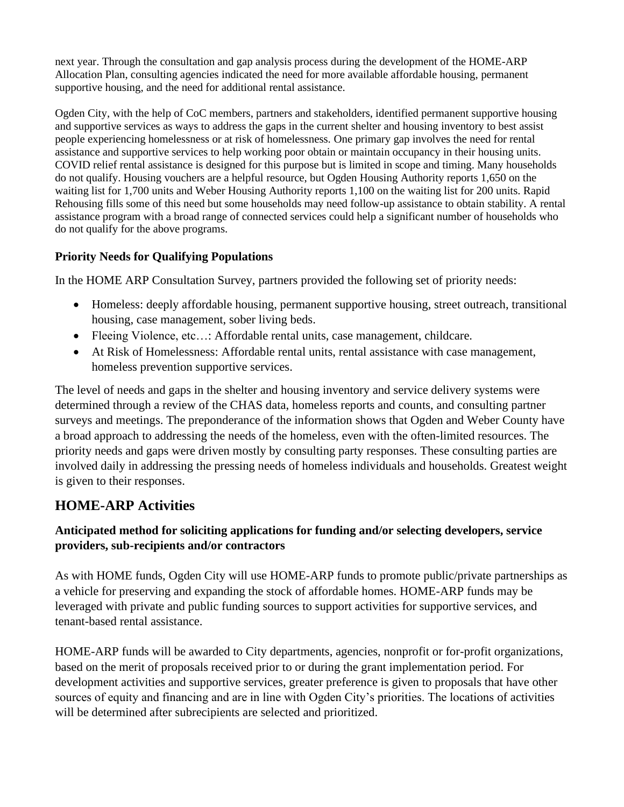next year. Through the consultation and gap analysis process during the development of the HOME-ARP Allocation Plan, consulting agencies indicated the need for more available affordable housing, permanent supportive housing, and the need for additional rental assistance.

Ogden City, with the help of CoC members, partners and stakeholders, identified permanent supportive housing and supportive services as ways to address the gaps in the current shelter and housing inventory to best assist people experiencing homelessness or at risk of homelessness. One primary gap involves the need for rental assistance and supportive services to help working poor obtain or maintain occupancy in their housing units. COVID relief rental assistance is designed for this purpose but is limited in scope and timing. Many households do not qualify. Housing vouchers are a helpful resource, but Ogden Housing Authority reports 1,650 on the waiting list for 1,700 units and Weber Housing Authority reports 1,100 on the waiting list for 200 units. Rapid Rehousing fills some of this need but some households may need follow-up assistance to obtain stability. A rental assistance program with a broad range of connected services could help a significant number of households who do not qualify for the above programs.

## **Priority Needs for Qualifying Populations**

In the HOME ARP Consultation Survey, partners provided the following set of priority needs:

- Homeless: deeply affordable housing, permanent supportive housing, street outreach, transitional housing, case management, sober living beds.
- Fleeing Violence, etc...: Affordable rental units, case management, childcare.
- At Risk of Homelessness: Affordable rental units, rental assistance with case management, homeless prevention supportive services.

The level of needs and gaps in the shelter and housing inventory and service delivery systems were determined through a review of the CHAS data, homeless reports and counts, and consulting partner surveys and meetings. The preponderance of the information shows that Ogden and Weber County have a broad approach to addressing the needs of the homeless, even with the often-limited resources. The priority needs and gaps were driven mostly by consulting party responses. These consulting parties are involved daily in addressing the pressing needs of homeless individuals and households. Greatest weight is given to their responses.

# **HOME-ARP Activities**

## **Anticipated method for soliciting applications for funding and/or selecting developers, service providers, sub-recipients and/or contractors**

As with HOME funds, Ogden City will use HOME-ARP funds to promote public/private partnerships as a vehicle for preserving and expanding the stock of affordable homes. HOME-ARP funds may be leveraged with private and public funding sources to support activities for supportive services, and tenant-based rental assistance.

HOME-ARP funds will be awarded to City departments, agencies, nonprofit or for-profit organizations, based on the merit of proposals received prior to or during the grant implementation period. For development activities and supportive services, greater preference is given to proposals that have other sources of equity and financing and are in line with Ogden City's priorities. The locations of activities will be determined after subrecipients are selected and prioritized.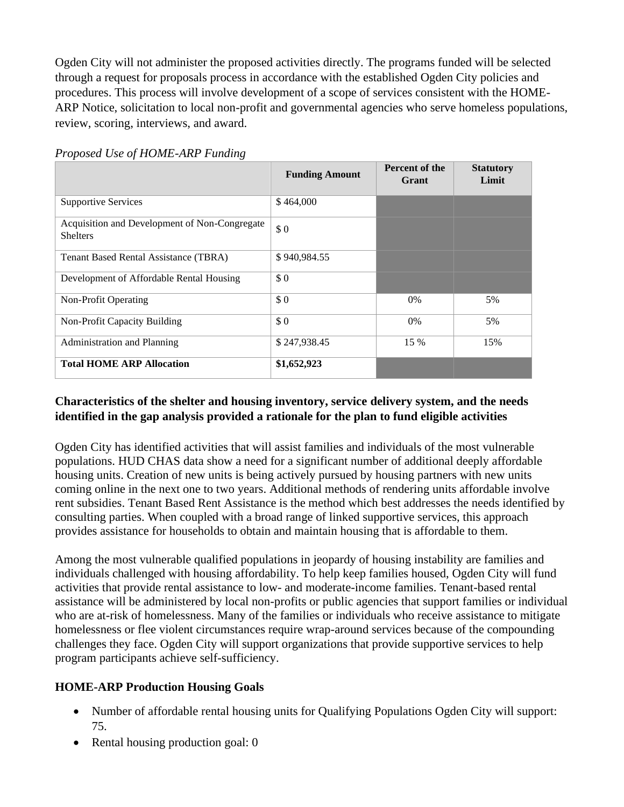Ogden City will not administer the proposed activities directly. The programs funded will be selected through a request for proposals process in accordance with the established Ogden City policies and procedures. This process will involve development of a scope of services consistent with the HOME-ARP Notice, solicitation to local non-profit and governmental agencies who serve homeless populations, review, scoring, interviews, and award.

|                                                                  | <b>Funding Amount</b> | Percent of the<br>Grant | <b>Statutory</b><br>Limit |
|------------------------------------------------------------------|-----------------------|-------------------------|---------------------------|
| <b>Supportive Services</b>                                       | \$464,000             |                         |                           |
| Acquisition and Development of Non-Congregate<br><b>Shelters</b> | \$0                   |                         |                           |
| Tenant Based Rental Assistance (TBRA)                            | \$940,984.55          |                         |                           |
| Development of Affordable Rental Housing                         | \$0                   |                         |                           |
| Non-Profit Operating                                             | \$0                   | $0\%$                   | 5%                        |
| Non-Profit Capacity Building                                     | \$0                   | $0\%$                   | 5%                        |
| Administration and Planning                                      | \$247,938.45          | 15 %                    | 15%                       |
| <b>Total HOME ARP Allocation</b>                                 | \$1,652,923           |                         |                           |

*Proposed Use of HOME-ARP Funding*

### **Characteristics of the shelter and housing inventory, service delivery system, and the needs identified in the gap analysis provided a rationale for the plan to fund eligible activities**

Ogden City has identified activities that will assist families and individuals of the most vulnerable populations. HUD CHAS data show a need for a significant number of additional deeply affordable housing units. Creation of new units is being actively pursued by housing partners with new units coming online in the next one to two years. Additional methods of rendering units affordable involve rent subsidies. Tenant Based Rent Assistance is the method which best addresses the needs identified by consulting parties. When coupled with a broad range of linked supportive services, this approach provides assistance for households to obtain and maintain housing that is affordable to them.

Among the most vulnerable qualified populations in jeopardy of housing instability are families and individuals challenged with housing affordability. To help keep families housed, Ogden City will fund activities that provide rental assistance to low- and moderate-income families. Tenant-based rental assistance will be administered by local non-profits or public agencies that support families or individual who are at-risk of homelessness. Many of the families or individuals who receive assistance to mitigate homelessness or flee violent circumstances require wrap-around services because of the compounding challenges they face. Ogden City will support organizations that provide supportive services to help program participants achieve self-sufficiency.

## **HOME-ARP Production Housing Goals**

- Number of affordable rental housing units for Qualifying Populations Ogden City will support: 75.
- Rental housing production goal: 0